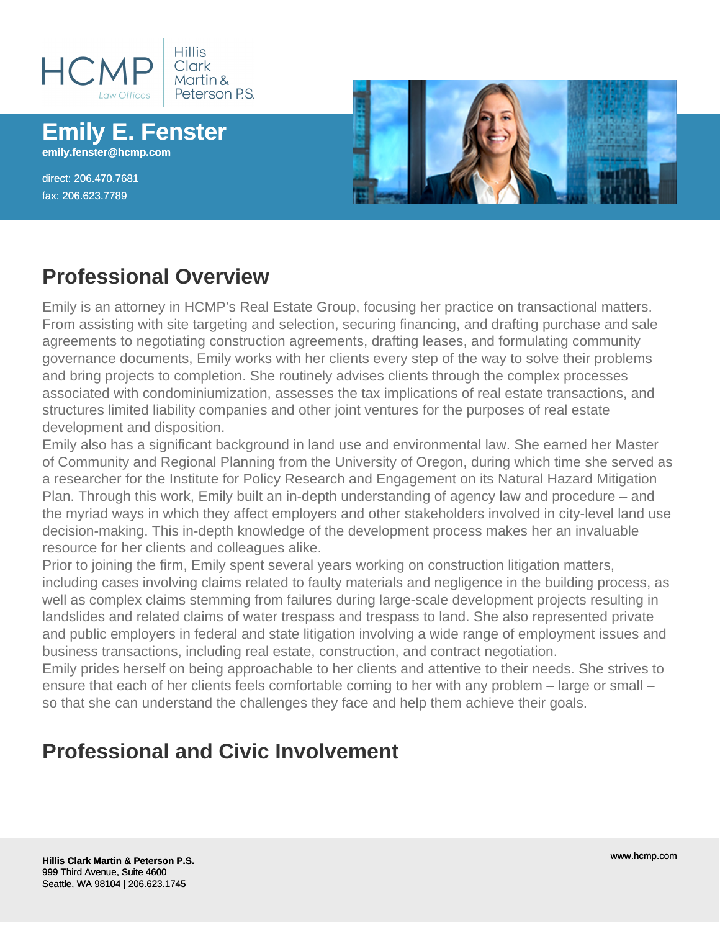

**Emily E. Fenster emily.fenster@hcmp.com**

direct: 206.470.7681 fax: 206.623.7789



#### **Professional Overview**

Emily is an attorney in HCMP's Real Estate Group, focusing her practice on transactional matters. From assisting with site targeting and selection, securing financing, and drafting purchase and sale agreements to negotiating construction agreements, drafting leases, and formulating community governance documents, Emily works with her clients every step of the way to solve their problems and bring projects to completion. She routinely advises clients through the complex processes associated with condominiumization, assesses the tax implications of real estate transactions, and structures limited liability companies and other joint ventures for the purposes of real estate development and disposition.

Emily also has a significant background in land use and environmental law. She earned her Master of Community and Regional Planning from the University of Oregon, during which time she served as a researcher for the Institute for Policy Research and Engagement on its Natural Hazard Mitigation Plan. Through this work, Emily built an in-depth understanding of agency law and procedure – and the myriad ways in which they affect employers and other stakeholders involved in city-level land use decision-making. This in-depth knowledge of the development process makes her an invaluable resource for her clients and colleagues alike.

Prior to joining the firm, Emily spent several years working on construction litigation matters, including cases involving claims related to faulty materials and negligence in the building process, as well as complex claims stemming from failures during large-scale development projects resulting in landslides and related claims of water trespass and trespass to land. She also represented private and public employers in federal and state litigation involving a wide range of employment issues and business transactions, including real estate, construction, and contract negotiation.

Emily prides herself on being approachable to her clients and attentive to their needs. She strives to ensure that each of her clients feels comfortable coming to her with any problem – large or small – so that she can understand the challenges they face and help them achieve their goals.

#### **Professional and Civic Involvement**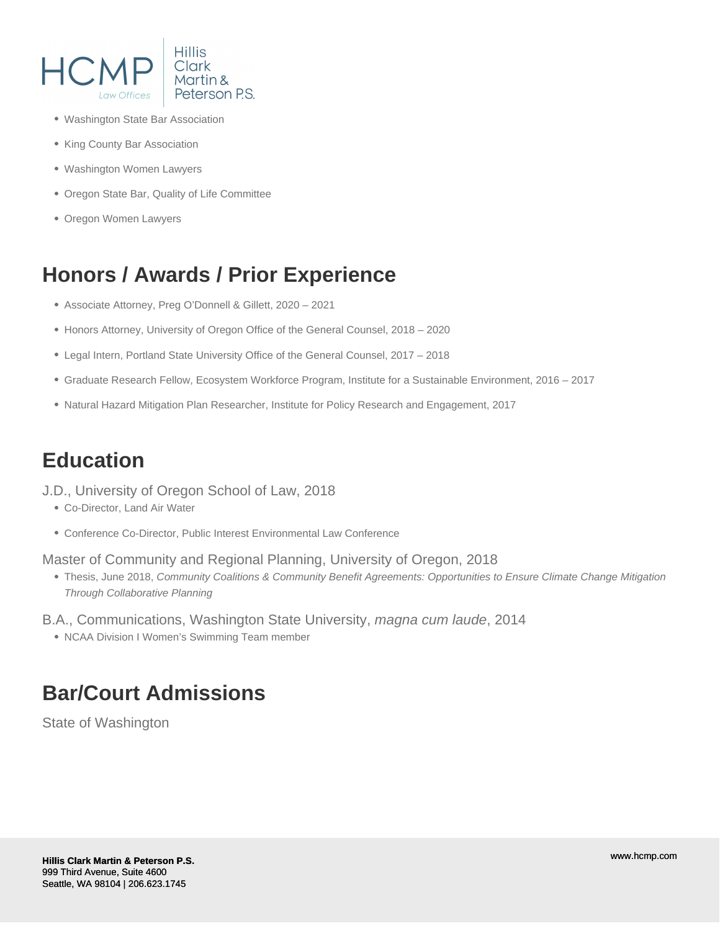

- Washington State Bar Association
- King County Bar Association
- Washington Women Lawyers
- Oregon State Bar, Quality of Life Committee
- Oregon Women Lawyers

## **Honors / Awards / Prior Experience**

- Associate Attorney, Preg O'Donnell & Gillett, 2020 2021
- Honors Attorney, University of Oregon Office of the General Counsel, 2018 2020
- Legal Intern, Portland State University Office of the General Counsel, 2017 2018
- Graduate Research Fellow, Ecosystem Workforce Program, Institute for a Sustainable Environment, 2016 2017
- Natural Hazard Mitigation Plan Researcher, Institute for Policy Research and Engagement, 2017

# **Education**

J.D., University of Oregon School of Law, 2018

- Co-Director, Land Air Water
- Conference Co-Director, Public Interest Environmental Law Conference

Master of Community and Regional Planning, University of Oregon, 2018

Thesis, June 2018, Community Coalitions & Community Benefit Agreements: Opportunities to Ensure Climate Change Mitigation Through Collaborative Planning

B.A., Communications, Washington State University, magna cum laude, 2014

• NCAA Division I Women's Swimming Team member

# **Bar/Court Admissions**

State of Washington